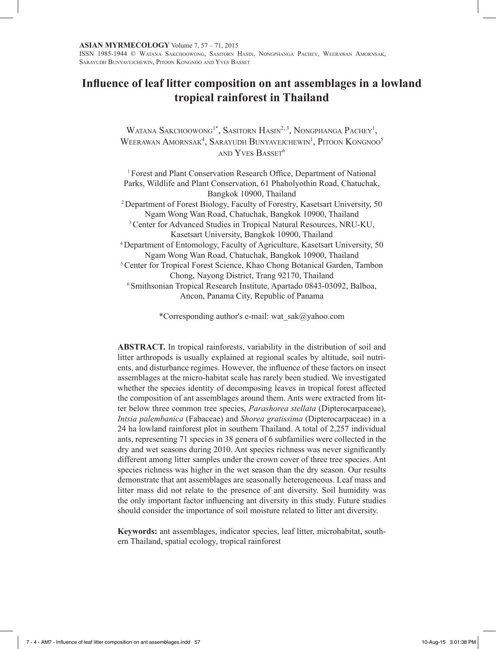# **Influence of leaf litter composition on ant assemblages in a lowland tropical rainforest in Thailand**

Watana Sakchoowong<sup>1\*</sup>, Sasitorn Hasin<sup>2, 3</sup>, Nongphanga Pachey<sup>1</sup>, WEERAWAN  $A$ mornsak<sup>4</sup>, Sarayudh Bunyavejchewin<sup>1</sup>, Pitoon Kongnoo<sup>5</sup> and Yves Basset<sup>6</sup>

<sup>1</sup> Forest and Plant Conservation Research Office, Department of National Parks, Wildlife and Plant Conservation, 61 Phaholyothin Road, Chatuchak, Bangkok 10900, Thailand <sup>2</sup>Department of Forest Biology, Faculty of Forestry, Kasetsart University, 50 Ngam Wong Wan Road, Chatuchak, Bangkok 10900, Thailand <sup>3</sup> Center for Advanced Studies in Tropical Natural Resources, NRU-KU, Kasetsart University, Bangkok 10900, Thailand <sup>4</sup>Department of Entomology, Faculty of Agriculture, Kasetsart University, 50 Ngam Wong Wan Road, Chatuchak, Bangkok 10900, Thailand <sup>5</sup> Center for Tropical Forest Science, Khao Chong Botanical Garden, Tambon Chong, Nayong District, Trang 92170, Thailand <sup>6</sup> Smithsonian Tropical Research Institute, Apartado 0843-03092, Balboa, Ancon, Panama City, Republic of Panama

\*Corresponding author's e-mail: wat\_sak@yahoo.com

**ABSTRACT.** In tropical rainforests, variability in the distribution of soil and litter arthropods is usually explained at regional scales by altitude, soil nutrients, and disturbance regimes. However, the influence of these factors on insect assemblages at the micro-habitat scale has rarely been studied. We investigated whether the species identity of decomposing leaves in tropical forest affected the composition of ant assemblages around them. Ants were extracted from litter below three common tree species, *Parashorea stellata* (Dipterocarpaceae), *Intsia palembanica* (Fabaceae) and *Shorea gratissima* (Dipterocarpaceae) in a 24 ha lowland rainforest plot in southern Thailand. A total of 2,257 individual ants, representing 71 species in 38 genera of 6 subfamilies were collected in the dry and wet seasons during 2010. Ant species richness was never significantly different among litter samples under the crown cover of three tree species. Ant species richness was higher in the wet season than the dry season. Our results demonstrate that ant assemblages are seasonally heterogeneous. Leaf mass and litter mass did not relate to the presence of ant diversity. Soil humidity was the only important factor influencing ant diversity in this study. Future studies should consider the importance of soil moisture related to litter ant diversity.

**Keywords:** ant assemblages, indicator species, leaf litter, microhabitat, southern Thailand, spatial ecology, tropical rainforest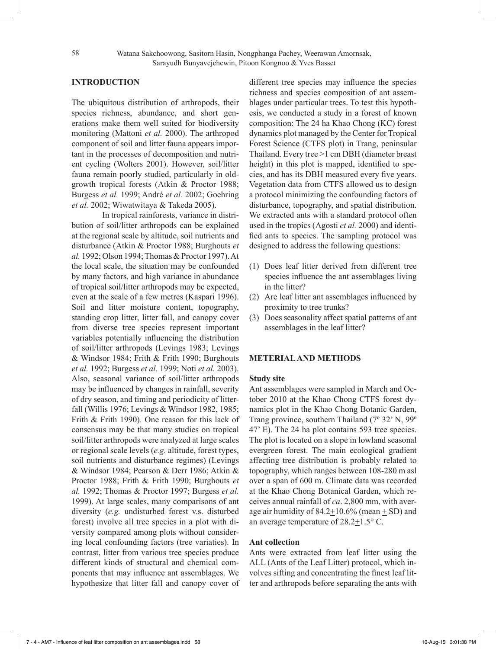# **INTRODUCTION**

The ubiquitous distribution of arthropods, their species richness, abundance, and short generations make them well suited for biodiversity monitoring (Mattoni *et al.* 2000). The arthropod component of soil and litter fauna appears important in the processes of decomposition and nutrient cycling (Wolters 2001). However, soil/litter fauna remain poorly studied, particularly in oldgrowth tropical forests (Atkin & Proctor 1988; Burgess *et al.* 1999; André *et al.* 2002; Goehring *et al.* 2002; Wiwatwitaya & Takeda 2005).

In tropical rainforests, variance in distribution of soil/litter arthropods can be explained at the regional scale by altitude, soil nutrients and disturbance (Atkin & Proctor 1988; Burghouts *et al.* 1992; Olson 1994; Thomas & Proctor 1997). At the local scale, the situation may be confounded by many factors, and high variance in abundance of tropical soil/litter arthropods may be expected, even at the scale of a few metres (Kaspari 1996). Soil and litter moisture content, topography, standing crop litter, litter fall, and canopy cover from diverse tree species represent important variables potentially influencing the distribution of soil/litter arthropods (Levings 1983; Levings & Windsor 1984; Frith & Frith 1990; Burghouts *et al.* 1992; Burgess *et al.* 1999; Noti *et al.* 2003). Also, seasonal variance of soil/litter arthropods may be influenced by changes in rainfall, severity of dry season, and timing and periodicity of litterfall (Willis 1976; Levings & Windsor 1982, 1985; Frith & Frith 1990). One reason for this lack of consensus may be that many studies on tropical soil/litter arthropods were analyzed at large scales or regional scale levels (*e.g.* altitude, forest types, soil nutrients and disturbance regimes) (Levings & Windsor 1984; Pearson & Derr 1986; Atkin & Proctor 1988; Frith & Frith 1990; Burghouts *et al.* 1992; Thomas & Proctor 1997; Burgess *et al.* 1999). At large scales, many comparisons of ant diversity (*e.g.* undisturbed forest v.s. disturbed forest) involve all tree species in a plot with diversity compared among plots without considering local confounding factors (tree variaties). In contrast, litter from various tree species produce different kinds of structural and chemical components that may influence ant assemblages. We hypothesize that litter fall and canopy cover of different tree species may influence the species richness and species composition of ant assemblages under particular trees. To test this hypothesis, we conducted a study in a forest of known composition: The 24 ha Khao Chong (KC) forest dynamics plot managed by the Center for Tropical Forest Science (CTFS plot) in Trang, peninsular Thailand. Every tree >1 cm DBH (diameter breast height) in this plot is mapped, identified to species, and has its DBH measured every five years. Vegetation data from CTFS allowed us to design a protocol minimizing the confounding factors of disturbance, topography, and spatial distribution. We extracted ants with a standard protocol often used in the tropics (Agosti *et al.* 2000) and identified ants to species. The sampling protocol was designed to address the following questions:

- (1) Does leaf litter derived from different tree species influence the ant assemblages living in the litter?
- (2) Are leaf litter ant assemblages influenced by proximity to tree trunks?
- (3) Does seasonality affect spatial patterns of ant assemblages in the leaf litter?

## **METERIAL AND METHODS**

#### **Study site**

Ant assemblages were sampled in March and October 2010 at the Khao Chong CTFS forest dynamics plot in the Khao Chong Botanic Garden, Trang province, southern Thailand (7º 32' N, 99º 47' E). The 24 ha plot contains 593 tree species. The plot is located on a slope in lowland seasonal evergreen forest. The main ecological gradient affecting tree distribution is probably related to topography, which ranges between 108-280 m asl over a span of 600 m. Climate data was recorded at the Khao Chong Botanical Garden, which receives annual rainfall of *ca*. 2,800 mm, with average air humidity of  $84.2 \pm 10.6\%$  (mean  $\pm$  SD) and an average temperature of  $28.2 \pm 1.5$ ° C.

# **Ant collection**

Ants were extracted from leaf litter using the ALL (Ants of the Leaf Litter) protocol, which involves sifting and concentrating the finest leaf litter and arthropods before separating the ants with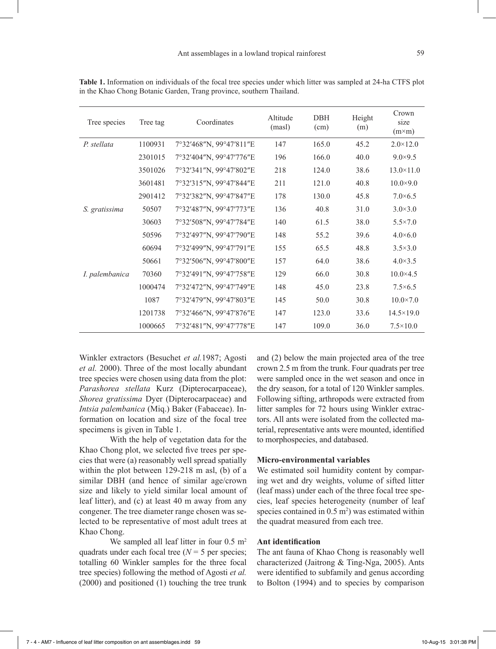| Tree species   | Tree tag | Coordinates             | Altitude<br>(masl) | DBH<br>(cm) | Height<br>(m) | Crown<br>size<br>$(m \times m)$ |
|----------------|----------|-------------------------|--------------------|-------------|---------------|---------------------------------|
| P. stellata    | 1100931  | 7°32'468"N, 99°47'811"E | 147                | 165.0       | 45.2          | $2.0 \times 12.0$               |
|                | 2301015  | 7°32'404"N, 99°47'776"E | 196                | 166.0       | 40.0          | $9.0 \times 9.5$                |
|                | 3501026  | 7°32'341"N, 99°47'802"E | 218                | 124.0       | 38.6          | $13.0 \times 11.0$              |
|                | 3601481  | 7°32'315"N, 99°47'844"E | 211                | 121.0       | 40.8          | $10.0 \times 9.0$               |
|                | 2901412  | 7°32'382"N, 99°47'847"E | 178                | 130.0       | 45.8          | $7.0\times 6.5$                 |
| S. gratissima  | 50507    | 7°32'487"N, 99°47'773"E | 136                | 40.8        | 31.0          | $3.0 \times 3.0$                |
|                | 30603    | 7°32'508"N, 99°47'784"E | 140                | 61.5        | 38.0          | $5.5 \times 7.0$                |
|                | 50596    | 7°32'497"N, 99°47'790"E | 148                | 55.2        | 39.6          | $4.0\times6.0$                  |
|                | 60694    | 7°32'499"N, 99°47'791"E | 155                | 65.5        | 48.8          | $3.5 \times 3.0$                |
|                | 50661    | 7°32'506"N, 99°47'800"E | 157                | 64.0        | 38.6          | $4.0 \times 3.5$                |
| I. palembanica | 70360    | 7°32'491"N, 99°47'758"E | 129                | 66.0        | 30.8          | $10.0 \times 4.5$               |
|                | 1000474  | 7°32'472"N, 99°47'749"E | 148                | 45.0        | 23.8          | $7.5\times 6.5$                 |
|                | 1087     | 7°32'479"N, 99°47'803"E | 145                | 50.0        | 30.8          | $10.0 \times 7.0$               |
|                | 1201738  | 7°32'466"N, 99°47'876"E | 147                | 123.0       | 33.6          | $14.5 \times 19.0$              |
|                | 1000665  | 7°32'481"N, 99°47'778"E | 147                | 109.0       | 36.0          | $7.5 \times 10.0$               |

**Table 1.** Information on individuals of the focal tree species under which litter was sampled at 24-ha CTFS plot in the Khao Chong Botanic Garden, Trang province, southern Thailand.

Winkler extractors (Besuchet *et al.*1987; Agosti *et al.* 2000). Three of the most locally abundant tree species were chosen using data from the plot: *Parashorea stellata* Kurz (Dipterocarpaceae), *Shorea gratissima* Dyer (Dipterocarpaceae) and *Intsia palembanica* (Miq.) Baker (Fabaceae). Information on location and size of the focal tree specimens is given in Table 1.

With the help of vegetation data for the Khao Chong plot, we selected five trees per species that were (a) reasonably well spread spatially within the plot between 129-218 m asl, (b) of a similar DBH (and hence of similar age/crown size and likely to yield similar local amount of leaf litter), and (c) at least 40 m away from any congener. The tree diameter range chosen was selected to be representative of most adult trees at Khao Chong.

We sampled all leaf litter in four  $0.5 \text{ m}^2$ quadrats under each focal tree  $(N = 5$  per species; totalling 60 Winkler samples for the three focal tree species) following the method of Agosti *et al.* (2000) and positioned (1) touching the tree trunk and (2) below the main projected area of the tree crown 2.5 m from the trunk. Four quadrats per tree were sampled once in the wet season and once in the dry season, for a total of 120 Winkler samples. Following sifting, arthropods were extracted from litter samples for 72 hours using Winkler extractors. All ants were isolated from the collected material, representative ants were mounted, identified to morphospecies, and databased.

# **Micro-environmental variables**

We estimated soil humidity content by comparing wet and dry weights, volume of sifted litter (leaf mass) under each of the three focal tree species, leaf species heterogeneity (number of leaf species contained in  $0.5 \text{ m}^2$ ) was estimated within the quadrat measured from each tree.

#### **Ant identification**

The ant fauna of Khao Chong is reasonably well characterized (Jaitrong & Ting-Nga, 2005). Ants were identified to subfamily and genus according to Bolton (1994) and to species by comparison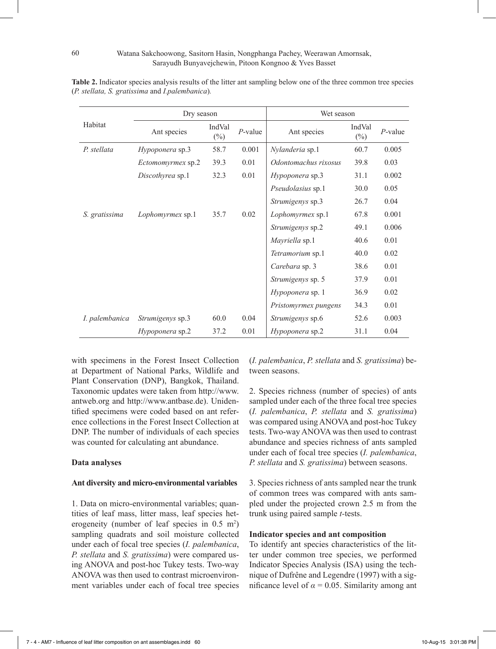|                | Dry season             |                  |            | Wet season              |                  |            |  |
|----------------|------------------------|------------------|------------|-------------------------|------------------|------------|--|
| Habitat        | Ant species            | IndVal<br>$(\%)$ | $P$ -value | Ant species             | IndVal<br>$(\%)$ | $P$ -value |  |
| P. stellata    | Hypoponera sp.3        | 58.7             | 0.001      | Nylanderia sp.1         | 60.7             | 0.005      |  |
|                | Ectomomyrmex sp.2      | 39.3             | 0.01       | Odontomachus rixosus    | 39.8             | 0.03       |  |
|                | Discothyrea sp.1       | 32.3             | 0.01       | Hypoponera sp.3         | 31.1             | 0.002      |  |
|                |                        |                  |            | Pseudolasius sp.1       | 30.0             | 0.05       |  |
|                |                        |                  |            | Strumigenys sp.3        | 26.7             | 0.04       |  |
| S. gratissima  | Lophomyrmex sp.1       | 35.7             | 0.02       | Lophomyrmex sp.1        | 67.8             | 0.001      |  |
|                |                        |                  |            | Strumigenys sp.2        | 49.1             | 0.006      |  |
|                |                        |                  |            | Mayriella sp.1          | 40.6             | 0.01       |  |
|                |                        |                  |            | Tetramorium sp.1        | 40.0             | 0.02       |  |
|                |                        |                  |            | Carebara sp. 3          | 38.6             | 0.01       |  |
|                |                        |                  |            | Strumigenys sp. 5       | 37.9             | 0.01       |  |
|                |                        |                  |            | <i>Hypoponera</i> sp. 1 | 36.9             | 0.02       |  |
|                |                        |                  |            | Pristomyrmex pungens    | 34.3             | 0.01       |  |
| I. palembanica | Strumigenys sp.3       | 60.0             | 0.04       | Strumigenys sp.6        | 52.6             | 0.003      |  |
|                | <i>Hypoponera</i> sp.2 | 37.2             | 0.01       | <i>Hypoponera</i> sp.2  | 31.1             | 0.04       |  |

**Table 2.** Indicator species analysis results of the litter ant sampling below one of the three common tree species (*P. stellata, S. gratissima* and *I.palembanica*)*.*

with specimens in the Forest Insect Collection at Department of National Parks, Wildlife and Plant Conservation (DNP), Bangkok, Thailand. Taxonomic updates were taken from http://www. antweb.org and http://www.antbase.de). Unidentified specimens were coded based on ant reference collections in the Forest Insect Collection at DNP. The number of individuals of each species was counted for calculating ant abundance.

# **Data analyses**

#### **Ant diversity and micro-environmental variables**

1. Data on micro-environmental variables; quantities of leaf mass, litter mass, leaf species heterogeneity (number of leaf species in  $0.5 \text{ m}^2$ ) sampling quadrats and soil moisture collected under each of focal tree species (*I. palembanica*, *P. stellata* and *S. gratissima*) were compared using ANOVA and post-hoc Tukey tests. Two-way ANOVA was then used to contrast microenvironment variables under each of focal tree species

(*I. palembanica*, *P. stellata* and *S. gratissima*) between seasons.

2. Species richness (number of species) of ants sampled under each of the three focal tree species (*I. palembanica*, *P. stellata* and *S. gratissima*) was compared using ANOVA and post-hoc Tukey tests. Two-way ANOVA was then used to contrast abundance and species richness of ants sampled under each of focal tree species (*I. palembanica*, *P. stellata* and *S. gratissima*) between seasons.

3. Species richness of ants sampled near the trunk of common trees was compared with ants sampled under the projected crown 2.5 m from the trunk using paired sample *t-*tests.

## **Indicator species and ant composition**

To identify ant species characteristics of the litter under common tree species, we performed Indicator Species Analysis (ISA) using the technique of Dufrêne and Legendre (1997) with a significance level of  $\alpha$  = 0.05. Similarity among ant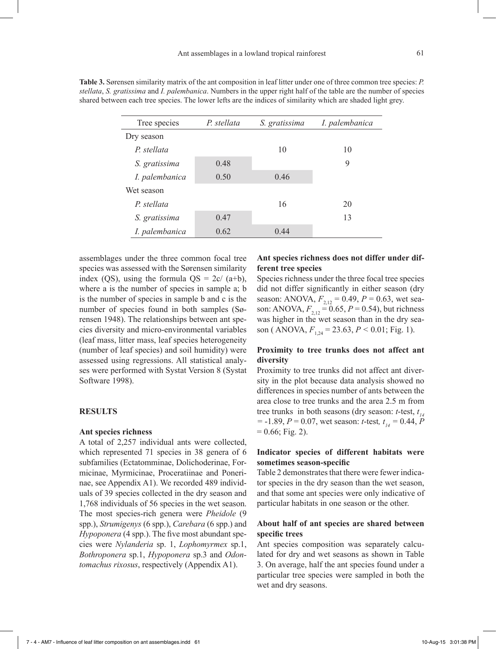| Tree species   | P. stellata | S. gratissima | I. palembanica |
|----------------|-------------|---------------|----------------|
| Dry season     |             |               |                |
| P. stellata    |             | 10            | 10             |
| S. gratissima  | 0.48        |               | 9              |
| I. palembanica | 0.50        | 0.46          |                |
| Wet season     |             |               |                |
| P. stellata    |             | 16            | 20             |
| S. gratissima  | 0.47        |               | 13             |
| I. palembanica | 0.62        | 0.44          |                |

**Table 3.** Sørensen similarity matrix of the ant composition in leaf litter under one of three common tree species: *P. stellata*, *S. gratissima* and *I. palembanica*. Numbers in the upper right half of the table are the number of species shared between each tree species. The lower lefts are the indices of similarity which are shaded light grey.

assemblages under the three common focal tree species was assessed with the Sørensen similarity index (QS), using the formula  $QS = 2c/(a+b)$ , where a is the number of species in sample a; b is the number of species in sample b and c is the number of species found in both samples (Sørensen 1948). The relationships between ant species diversity and micro-environmental variables (leaf mass, litter mass, leaf species heterogeneity (number of leaf species) and soil humidity) were assessed using regressions. All statistical analyses were performed with Systat Version 8 (Systat Software 1998).

#### **RESULTS**

## **Ant species richness**

A total of 2,257 individual ants were collected, which represented 71 species in 38 genera of 6 subfamilies (Ectatomminae, Dolichoderinae, Formicinae, Myrmicinae, Proceratiinae and Ponerinae, see Appendix A1). We recorded 489 individuals of 39 species collected in the dry season and 1,768 individuals of 56 species in the wet season. The most species-rich genera were *Pheidole* (9 spp.), *Strumigenys* (6 spp.), *Carebara* (6 spp.) and *Hypoponera* (4 spp.). The five most abundant species were *Nylanderia* sp. 1, *Lophomyrmex* sp.1, *Bothroponera* sp.1, *Hypoponera* sp.3 and *Odontomachus rixosus*, respectively (Appendix A1).

# **Ant species richness does not differ under different tree species**

Species richness under the three focal tree species did not differ significantly in either season (dry season: ANOVA,  $F_{2,12} = 0.49$ ,  $P = 0.63$ , wet season: ANOVA,  $F_{2,12} = 0.65$ ,  $P = 0.54$ ), but richness was higher in the wet season than in the dry season (ANOVA,  $F_{1,24} = 23.63$ ,  $P < 0.01$ ; Fig. 1).

# **Proximity to tree trunks does not affect ant diversity**

Proximity to tree trunks did not affect ant diversity in the plot because data analysis showed no differences in species number of ants between the area close to tree trunks and the area 2.5 m from tree trunks in both seasons (dry season: *t*-test, *t 14*  $=$  -1.89, *P* = 0.07, wet season: *t*-test,  $t<sub>14</sub>$  = 0.44, *P*  $= 0.66$ ; Fig. 2).

# **Indicator species of different habitats were sometimes season-specific**

Table 2 demonstrates that there were fewer indicator species in the dry season than the wet season, and that some ant species were only indicative of particular habitats in one season or the other.

# **About half of ant species are shared between specific trees**

Ant species composition was separately calculated for dry and wet seasons as shown in Table 3. On average, half the ant species found under a particular tree species were sampled in both the wet and dry seasons.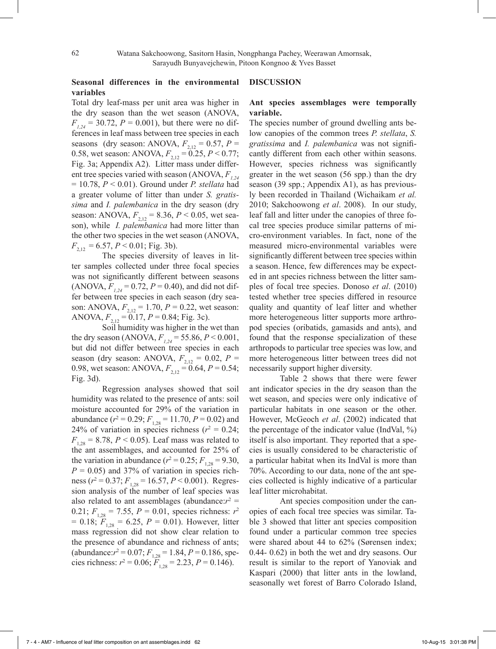# **Seasonal differences in the environmental variables**

Total dry leaf-mass per unit area was higher in the dry season than the wet season (ANOVA,  $F_{1,24}$  = 30.72,  $P = 0.001$ ), but there were no differences in leaf mass between tree species in each seasons (dry season: ANOVA,  $F_{2,12} = 0.57$ ,  $P =$ 0.58, wet season: ANOVA,  $F_{2,12} = 0.25$ ,  $P < 0.77$ ; Fig. 3a; Appendix A2). Litter mass under different tree species varied with season (ANOVA,  $F_{1,24}$ = 10.78, *P* < 0.01). Ground under *P. stellata* had a greater volume of litter than under *S. gratissima* and *I. palembanica* in the dry season (dry season: ANOVA,  $F_{2,12} = 8.36$ ,  $P < 0.05$ , wet season), while *I. palembanica* had more litter than the other two species in the wet season (ANOVA,  $F_{2,12} = 6.57, P < 0.01$ ; Fig. 3b).

The species diversity of leaves in litter samples collected under three focal species was not significantly different between seasons  $(ANOVA, F<sub>1,24</sub> = 0.72, P = 0.40)$ , and did not differ between tree species in each season (dry season: ANOVA,  $F_{2,12} = 1.70$ ,  $P = 0.22$ , wet season: ANOVA,  $F_{2,12} = 0.17$ ,  $P = 0.84$ ; Fig. 3c).

Soil humidity was higher in the wet than the dry season (ANOVA,  $F_{1,24}$  = 55.86,  $P < 0.001$ , but did not differ between tree species in each season (dry season: ANOVA,  $F_{2,12} = 0.02$ ,  $P =$ 0.98, wet season: ANOVA,  $F_{2,12} = 0.64$ ,  $P = 0.54$ ; Fig. 3d).

Regression analyses showed that soil humidity was related to the presence of ants: soil moisture accounted for 29% of the variation in abundance ( $r^2 = 0.29$ ;  $F_{1,28} = 11.70$ ,  $P = 0.02$ ) and 24% of variation in species richness  $(r^2 = 0.24)$ ;  $F_{1,28} = 8.78, P \le 0.05$ . Leaf mass was related to the ant assemblages, and accounted for 25% of the variation in abundance ( $r^2 = 0.25$ ;  $F_{1,28} = 9.30$ ,  $P = 0.05$ ) and 37% of variation in species richness ( $r^2 = 0.37$ ;  $F_{1,28} = 16.57$ ,  $P < 0.001$ ). Regression analysis of the number of leaf species was also related to ant assemblages (abundance: $r^2$  = 0.21;  $F_{1,28} = 7.55$ ,  $P = 0.01$ , species richness:  $r^2$  $= 0.18$ ;  $F_{1,28} = 6.25$ ,  $P = 0.01$ ). However, litter mass regression did not show clear relation to the presence of abundance and richness of ants;  $(abundance:r^2 = 0.07; F<sub>1,28</sub> = 1.84, P = 0.186, spe$ cies richness:  $r^2 = 0.06$ ;  $F_{1,28} = 2.23$ ,  $P = 0.146$ ).

# **DISCUSSION**

# **Ant species assemblages were temporally variable.**

The species number of ground dwelling ants below canopies of the common trees *P. stellata*, *S. gratissima* and *I. palembanica* was not significantly different from each other within seasons. However, species richness was significantly greater in the wet season (56 spp.) than the dry season (39 spp.; Appendix A1), as has previously been recorded in Thailand (Wichaikam *et al.* 2010; Sakchoowong *et al*. 2008). In our study, leaf fall and litter under the canopies of three focal tree species produce similar patterns of micro-environment variables. In fact, none of the measured micro-environmental variables were significantly different between tree species within a season. Hence, few differences may be expected in ant species richness between the litter samples of focal tree species. Donoso *et al*. (2010) tested whether tree species differed in resource quality and quantity of leaf litter and whether more heterogeneous litter supports more arthropod species (oribatids, gamasids and ants), and found that the response specialization of these arthropods to particular tree species was low, and more heterogeneous litter between trees did not necessarily support higher diversity.

Table 2 shows that there were fewer ant indicator species in the dry season than the wet season, and species were only indicative of particular habitats in one season or the other. However, McGeoch *et al*. (2002) indicated that the percentage of the indicator value (IndVal, %) itself is also important. They reported that a species is usually considered to be characteristic of a particular habitat when its IndVal is more than 70%. According to our data, none of the ant species collected is highly indicative of a particular leaf litter microhabitat.

Ant species composition under the canopies of each focal tree species was similar. Table 3 showed that litter ant species composition found under a particular common tree species were shared about 44 to 62% (Sørensen index; 0.44- 0.62) in both the wet and dry seasons. Our result is similar to the report of Yanoviak and Kaspari (2000) that litter ants in the lowland, seasonally wet forest of Barro Colorado Island,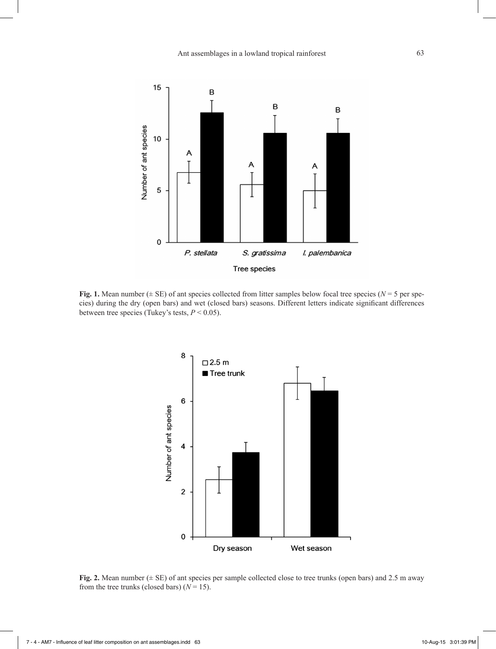

**Fig. 1.** Mean number ( $\pm$  SE) of ant species collected from litter samples below focal tree species ( $N = 5$  per species) during the dry (open bars) and wet (closed bars) seasons. Different letters indicate significant differences between tree species (Tukey's tests,  $P < 0.05$ ).



**Fig. 2.** Mean number ( $\pm$  SE) of ant species per sample collected close to tree trunks (open bars) and 2.5 m away from the tree trunks (closed bars)  $(N = 15)$ .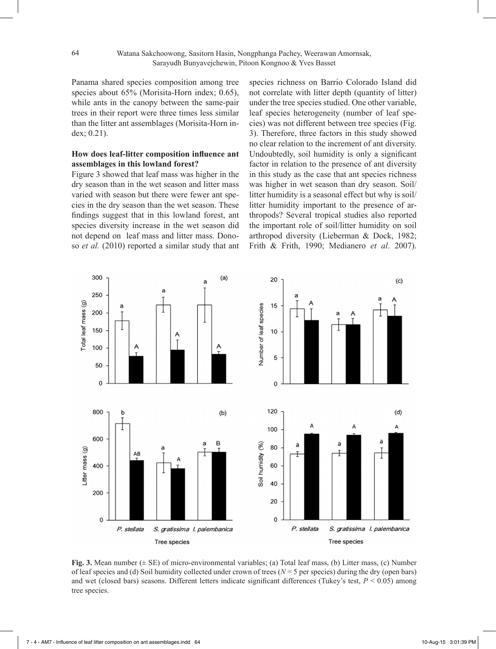Panama shared species composition among tree species about 65% (Morisita-Horn index; 0.65), while ants in the canopy between the same-pair trees in their report were three times less similar than the litter ant assemblages (Morisita-Horn index; 0.21).

# **How does leaf-litter composition influence ant assemblages in this lowland forest?**

Figure 3 showed that leaf mass was higher in the dry season than in the wet season and litter mass varied with season but there were fewer ant species in the dry season than the wet season. These findings suggest that in this lowland forest, ant species diversity increase in the wet season did not depend on leaf mass and litter mass. Donoso *et al.* (2010) reported a similar study that ant species richness on Barrio Colorado Island did not correlate with litter depth (quantity of litter) under the tree species studied. One other variable, leaf species heterogeneity (number of leaf species) was not different between tree species (Fig. 3). Therefore, three factors in this study showed no clear relation to the increment of ant diversity. Undoubtedly, soil humidity is only a significant factor in relation to the presence of ant diversity in this study as the case that ant species richness was higher in wet season than dry season. Soil/ litter humidity is a seasonal effect but why is soil/ litter humidity important to the presence of arthropods? Several tropical studies also reported the important role of soil/litter humidity on soil arthropod diversity (Lieberman & Dock, 1982; Frith & Frith, 1990; Medianero *et al*. 2007).



**Fig. 3.** Mean number ( $\pm$  SE) of micro-environmental variables; (a) Total leaf mass, (b) Litter mass, (c) Number of leaf species and (d) Soil humidity collected under crown of trees ( $N = 5$  per species) during the dry (open bars) and wet (closed bars) seasons. Different letters indicate significant differences (Tukey's test, *P* < 0.05) among tree species.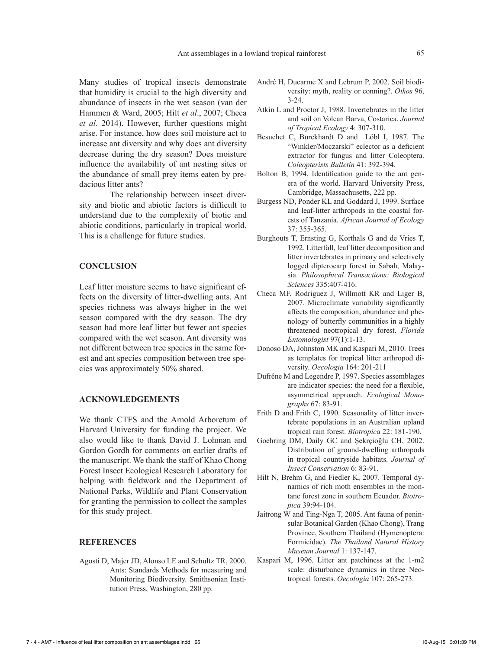Many studies of tropical insects demonstrate that humidity is crucial to the high diversity and abundance of insects in the wet season (van der Hammen & Ward, 2005; Hilt *et al*., 2007; Checa *et al*. 2014). However, further questions might arise. For instance, how does soil moisture act to increase ant diversity and why does ant diversity decrease during the dry season? Does moisture influence the availability of ant nesting sites or the abundance of small prey items eaten by predacious litter ants?

The relationship between insect diversity and biotic and abiotic factors is difficult to understand due to the complexity of biotic and abiotic conditions, particularly in tropical world. This is a challenge for future studies.

## **CONCLUSION**

Leaf litter moisture seems to have significant effects on the diversity of litter-dwelling ants. Ant species richness was always higher in the wet season compared with the dry season. The dry season had more leaf litter but fewer ant species compared with the wet season. Ant diversity was not different between tree species in the same forest and ant species composition between tree species was approximately 50% shared.

# **ACKNOWLEDGEMENTS**

We thank CTFS and the Arnold Arboretum of Harvard University for funding the project. We also would like to thank David J. Lohman and Gordon Gordh for comments on earlier drafts of the manuscript. We thank the staff of Khao Chong Forest Insect Ecological Research Laboratory for helping with fieldwork and the Department of National Parks, Wildlife and Plant Conservation for granting the permission to collect the samples for this study project.

#### **REFERENCES**

Agosti D, Majer JD, Alonso LE and Schultz TR, 2000. Ants: Standards Methods for measuring and Monitoring Biodiversity. Smithsonian Institution Press, Washington, 280 pp.

- André H, Ducarme X and Lebrum P, 2002. Soil biodiversity: myth, reality or conning?. *Oikos* 96, 3-24.
- Atkin L and Proctor J, 1988. Invertebrates in the litter and soil on Volcan Barva, Costarica. *Journal of Tropical Ecology* 4: 307-310.
- Besuchet C, Burckhardt D and Löbl I, 1987. The "Winkler/Moczarski" eclector as a deficient extractor for fungus and litter Coleoptera. *Coleopterists Bulletin* 41: 392-394.
- Bolton B, 1994. Identification guide to the ant genera of the world. Harvard University Press, Cambridge, Massachusetts, 222 pp.
- Burgess ND, Ponder KL and Goddard J, 1999. Surface and leaf-litter arthropods in the coastal forests of Tanzania. *African Journal of Ecology*  37: 355-365.
- Burghouts T, Ernsting G, Korthals G and de Vries T, 1992. Litterfall, leaf litter decomposition and litter invertebrates in primary and selectively logged dipterocarp forest in Sabah, Malaysia. *Philosophical Transactions: Biological Sciences* 335:407-416.
- Checa MF, Rodriguez J, Willmott KR and Liger B, 2007. Microclimate variability significantly affects the composition, abundance and phenology of butterfly communities in a highly threatened neotropical dry forest. *Florida Entomologist* 97(1):1-13.
- Donoso DA, Johnston MK and Kaspari M, 2010. Trees as templates for tropical litter arthropod diversity. *Oecologia* 164: 201-211
- Dufrêne M and Legendre P, 1997. Species assemblages are indicator species: the need for a flexible, asymmetrical approach. *Ecological Monographs* 67: 83-91.
- Frith D and Frith C, 1990. Seasonality of litter invertebrate populations in an Australian upland tropical rain forest. *Biotropica* 22: 181-190.
- Goehring DM, Daily GC and Şekrçioğlu CH, 2002. Distribution of ground-dwelling arthropods in tropical countryside habitats. *Journal of Insect Conservation* 6: 83-91.
- Hilt N, Brehm G, and Fiedler K, 2007. Temporal dynamics of rich moth ensembles in the montane forest zone in southern Ecuador. *Biotropica* 39:94-104.
- Jaitrong W and Ting-Nga T, 2005. Ant fauna of peninsular Botanical Garden (Khao Chong), Trang Province, Southern Thailand (Hymenoptera: Formicidae). *The Thailand Natural History Museum Journal* 1: 137-147.
- Kaspari M, 1996. Litter ant patchiness at the 1-m2 scale: disturbance dynamics in three Neotropical forests. *Oecologia* 107: 265-273.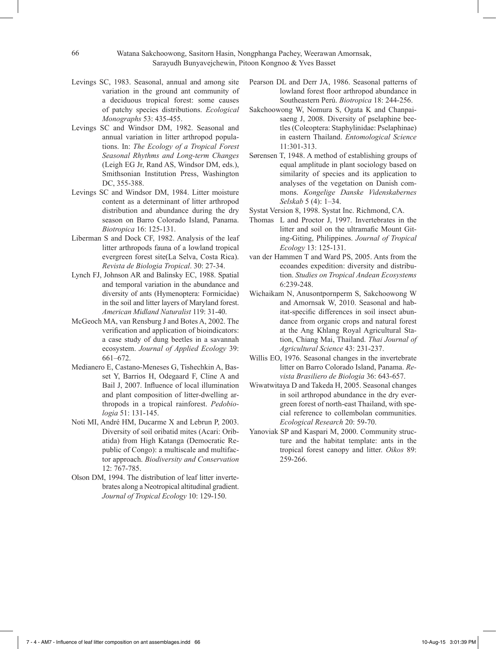- Levings SC, 1983. Seasonal, annual and among site variation in the ground ant community of a deciduous tropical forest: some causes of patchy species distributions. *Ecological Monographs* 53: 435-455.
- Levings SC and Windsor DM, 1982. Seasonal and annual variation in litter arthropod populations. In: *The Ecology of a Tropical Forest Seasonal Rhythms and Long-term Changes* (Leigh EG Jr, Rand AS, Windsor DM, eds.), Smithsonian Institution Press, Washington DC, 355-388.
- Levings SC and Windsor DM, 1984. Litter moisture content as a determinant of litter arthropod distribution and abundance during the dry season on Barro Colorado Island, Panama. *Biotropica* 16: 125-131.
- Liberman S and Dock CF, 1982. Analysis of the leaf litter arthropods fauna of a lowland tropical evergreen forest site(La Selva, Costa Rica). *Revista de Biologia Tropical*. 30: 27-34.
- Lynch FJ, Johnson AR and Balinsky EC, 1988. Spatial and temporal variation in the abundance and diversity of ants (Hymenoptera: Formicidae) in the soil and litter layers of Maryland forest. *American Midland Naturalist* 119: 31-40.
- McGeoch MA, van Rensburg J and Botes A, 2002. The verification and application of bioindicators: a case study of dung beetles in a savannah ecosystem. *Journal of Applied Ecology* 39: 661–672.
- Medianero E, Castano-Meneses G, Tishechkin A, Basset Y, Barrios H, Odegaard F, Cline A and Bail J, 2007. Influence of local illumination and plant composition of litter-dwelling arthropods in a tropical rainforest. *Pedobiologia* 51: 131-145.
- Noti MI, André HM, Ducarme X and Lebrun P, 2003. Diversity of soil oribatid mites (Acari: Oribatida) from High Katanga (Democratic Republic of Congo): a multiscale and multifactor approach. *Biodiversity and Conservation* 12: 767-785.
- Olson DM, 1994. The distribution of leaf litter invertebrates along a Neotropical altitudinal gradient. *Journal of Tropical Ecology* 10: 129-150.
- Pearson DL and Derr JA, 1986. Seasonal patterns of lowland forest floor arthropod abundance in Southeastern Perú. *Biotropica* 18: 244-256.
- Sakchoowong W, Nomura S, Ogata K and Chanpaisaeng J, 2008. Diversity of pselaphine beetles (Coleoptera: Staphylinidae: Pselaphinae) in eastern Thailand. *Entomological Science* 11:301-313.
- Sørensen T, 1948. A method of establishing groups of equal amplitude in plant sociology based on similarity of species and its application to analyses of the vegetation on Danish commons. *Kongelige Danske Videnskabernes Selskab* 5 (4): 1–34.
- Systat Version 8, 1998. Systat Inc. Richmond, CA.
- Thomas L and Proctor J, 1997. Invertebrates in the litter and soil on the ultramafic Mount Giting-Giting, Philippines. *Journal of Tropical Ecology* 13: 125-131.
- van der Hammen T and Ward PS, 2005. Ants from the ecoandes expedition: diversity and distribution. *Studies on Tropical Andean Ecosystems* 6:239-248.
- Wichaikam N, Anusontpornperm S, Sakchoowong W and Amornsak W, 2010. Seasonal and habitat-specific differences in soil insect abundance from organic crops and natural forest at the Ang Khlang Royal Agricultural Station, Chiang Mai, Thailand. *Thai Journal of Agricultural Science* 43: 231-237.
- Willis EO, 1976. Seasonal changes in the invertebrate litter on Barro Colorado Island, Panama. *Revista Brasiliero de Biologia* 36: 643-657.
- Wiwatwitaya D and Takeda H, 2005. Seasonal changes in soil arthropod abundance in the dry evergreen forest of north-east Thailand, with special reference to collembolan communities. *Ecological Research* 20: 59-70.
- Yanoviak SP and Kaspari M, 2000. Community structure and the habitat template: ants in the tropical forest canopy and litter. *Oikos* 89: 259-266.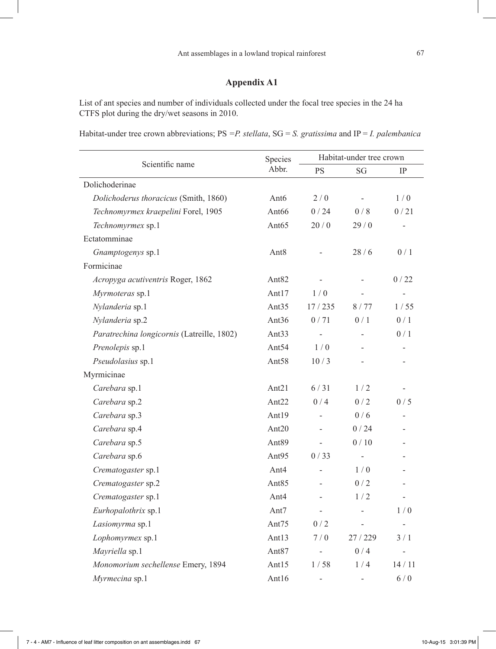# **Appendix A1**

List of ant species and number of individuals collected under the focal tree species in the 24 ha CTFS plot during the dry/wet seasons in 2010.

Habitat-under tree crown abbreviations; PS *=P. stellata*, SG = *S. gratissima* and IP = *I. palembanica*

|                                            | Species           | Habitat-under tree crown |                |                |  |
|--------------------------------------------|-------------------|--------------------------|----------------|----------------|--|
| Scientific name                            | Abbr.             | <b>PS</b>                | SG             | <b>IP</b>      |  |
| Dolichoderinae                             |                   |                          |                |                |  |
| Dolichoderus thoracicus (Smith, 1860)      | Ant6              | 2/0                      |                | 1/0            |  |
| Technomyrmex kraepelini Forel, 1905        | Ant <sub>66</sub> | 0/24                     | 0/8            | 0/21           |  |
| Technomyrmex sp.1                          | Ant <sub>65</sub> | 20/0                     | 29/0           | $\overline{a}$ |  |
| Ectatomminae                               |                   |                          |                |                |  |
| Gnamptogenys sp.1                          | Ant8              |                          | 28/6           | $0/1$          |  |
| Formicinae                                 |                   |                          |                |                |  |
| Acropyga acutiventris Roger, 1862          | Ant <sub>82</sub> |                          |                | 0/22           |  |
| Myrmoteras sp.1                            | Ant $17$          | 1/0                      |                |                |  |
| Nylanderia sp.1                            | Ant <sub>35</sub> | 17/235                   | 8/77           | 1/55           |  |
| Nylanderia sp.2                            | Ant36             | 0/71                     | 0/1            | 0/1            |  |
| Paratrechina longicornis (Latreille, 1802) | Ant $33$          |                          |                | 0/1            |  |
| Prenolepis sp.1                            | Ant <sub>54</sub> | 1/0                      |                |                |  |
| Pseudolasius sp.1                          | Ant <sub>58</sub> | 10/3                     |                |                |  |
| Myrmicinae                                 |                   |                          |                |                |  |
| Carebara sp.1                              | Ant $21$          | 6/31                     | 1/2            |                |  |
| Carebara sp.2                              | Ant <sub>22</sub> | 0/4                      | 0/2            | 0/5            |  |
| Carebara sp.3                              | Ant19             |                          | 0/6            |                |  |
| Carebara sp.4                              | Ant $20$          | $\overline{\phantom{a}}$ | 0/24           |                |  |
| Carebara sp.5                              | Ant <sub>89</sub> | $\overline{a}$           | 0/10           |                |  |
| Carebara sp.6                              | Ant95             | 0/33                     |                |                |  |
| Crematogaster sp.1                         | Ant4              |                          | 1/0            |                |  |
| Crematogaster sp.2                         | Ant85             | ٠                        | 0/2            |                |  |
| Crematogaster sp.1                         | Ant4              |                          | 1/2            |                |  |
| Eurhopalothrix sp.1                        | Ant7              | $\overline{a}$           |                | 1/0            |  |
| Lasiomyrma sp.1                            | Ant75             | 0/2                      | -              |                |  |
| Lophomyrmex sp.1                           | Ant $13$          | 7/0                      | 27/229         | 3/1            |  |
| Mayriella sp.1                             | Ant <sub>87</sub> |                          | 0/4            |                |  |
| Monomorium sechellense Emery, 1894         | Ant $15$          | 1/58                     | 1/4            | 14/11          |  |
| Myrmecina sp.1                             | Ant16             | ÷                        | $\overline{a}$ | 6/0            |  |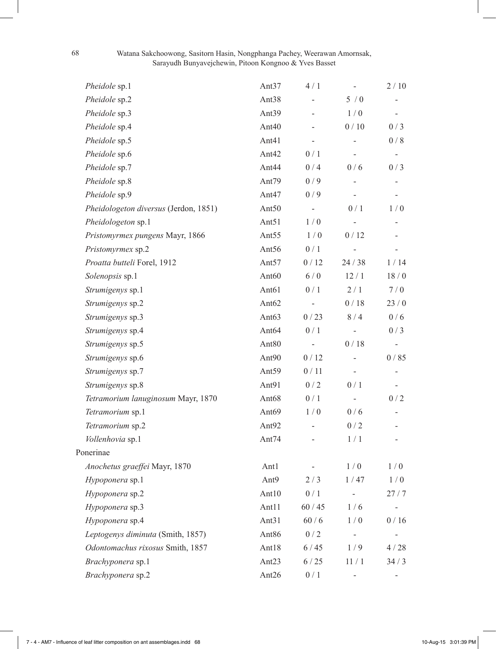| Pheidole sp.1                         | Ant37             | 4/1                      |                          | 2/10  |
|---------------------------------------|-------------------|--------------------------|--------------------------|-------|
| Pheidole sp.2                         | Ant <sub>38</sub> |                          | 5/0                      |       |
| Pheidole sp.3                         | Ant <sub>39</sub> |                          | 1/0                      |       |
| Pheidole sp.4                         | Ant <sub>40</sub> |                          | 0/10                     | 0/3   |
| Pheidole sp.5                         | Ant41             |                          |                          | 0/8   |
| Pheidole sp.6                         | Ant42             | 0/1                      |                          | $ \,$ |
| Pheidole sp.7                         | Ant44             | 0/4                      | 0/6                      | 0/3   |
| Pheidole sp.8                         | Ant79             | 0/9                      |                          |       |
| Pheidole sp.9                         | Ant47             | 0/9                      |                          |       |
| Pheidologeton diversus (Jerdon, 1851) | Ant <sub>50</sub> | $\overline{a}$           | 0/1                      | 1/0   |
| Pheidologeton sp.1                    | Ant <sub>51</sub> | 1/0                      |                          |       |
| Pristomyrmex pungens Mayr, 1866       | Ant <sub>55</sub> | 1/0                      | 0/12                     |       |
| Pristomyrmex sp.2                     | Ant <sub>56</sub> | 0/1                      |                          |       |
| Proatta butteli Forel, 1912           | Ant <sub>57</sub> | 0/12                     | 24/38                    | 1/14  |
| Solenopsis sp.1                       | Ant <sub>60</sub> | 6/0                      | 12/1                     | 18/0  |
| Strumigenys sp.1                      | Ant <sub>61</sub> | 0/1                      | 2/1                      | 7/0   |
| Strumigenys sp.2                      | Ant62             |                          | 0/18                     | 23/0  |
| Strumigenys sp.3                      | Ant <sub>63</sub> | 0/23                     | 8/4                      | 0/6   |
| Strumigenys sp.4                      | Ant <sub>64</sub> | 0/1                      |                          | 0/3   |
| Strumigenys sp.5                      | Ant <sub>80</sub> |                          | 0/18                     |       |
| Strumigenys sp.6                      | Ant90             | 0/12                     |                          | 0/85  |
| Strumigenys sp.7                      | Ant <sub>59</sub> | 0/11                     | $\overline{\phantom{a}}$ |       |
| Strumigenys sp.8                      | Ant91             | 0/2                      | 0/1                      |       |
| Tetramorium lanuginosum Mayr, 1870    | Ant <sub>68</sub> | 0/1                      |                          | 0/2   |
| Tetramorium sp.1                      | Ant <sub>69</sub> | 1/0                      | 0/6                      |       |
| Tetramorium sp.2                      | Ant92             |                          | 0/2                      |       |
| Vollenhovia sp.1                      | Ant74             |                          | 1/1                      |       |
| Ponerinae                             |                   |                          |                          |       |
| Anochetus graeffei Mayr, 1870         | Ant1              | $\overline{\phantom{0}}$ | $1/0$                    | 1/0   |
| Hypoponera sp.1                       | Ant9              | 2/3                      | 1/47                     | 1/0   |
| Hypoponera sp.2                       | Ant10             | 0/1                      |                          | 27/7  |
| Hypoponera sp.3                       | Ant11             | $60/45$                  | 1/6                      |       |
| Hypoponera sp.4                       | Ant <sub>31</sub> | 60/6                     | 1/0                      | 0/16  |
| Leptogenys diminuta (Smith, 1857)     | Ant86             | 0/2                      |                          |       |
| Odontomachus rixosus Smith, 1857      | Ant18             | 6/45                     | 1/9                      | 4/28  |
| Brachyponera sp.1                     | Ant <sub>23</sub> | 6/25                     | 11/1                     | 34/3  |
| Brachyponera sp.2                     | Ant26             | 0/1                      |                          |       |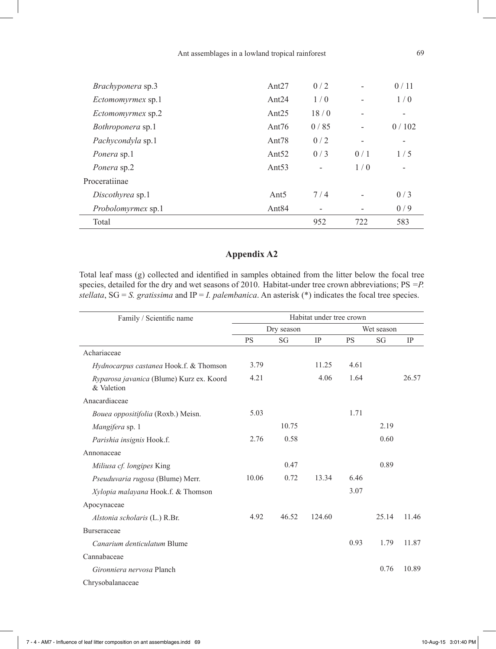| Brachyponera sp.3        | Ant $27$          | 0/2            |                          | 0/11                     |
|--------------------------|-------------------|----------------|--------------------------|--------------------------|
| <i>Ectomomyrmex</i> sp.1 | Ant $24$          | 1/0            |                          | 1/0                      |
| <i>Ectomomyrmex</i> sp.2 | Ant $25$          | 18/0           | ۰                        | ۰                        |
| <i>Bothroponera</i> sp.1 | Ant $76$          | 0/85           | $\overline{\phantom{0}}$ | 0/102                    |
| <i>Pachycondyla</i> sp.1 | Ant <sub>78</sub> | 0/2            | $\overline{\phantom{0}}$ | $\overline{\phantom{a}}$ |
| <i>Ponera</i> sp.1       | Ant $52$          | 0/3            | 0/1                      | 1/5                      |
| Ponera sp.2              | Ant $53$          | $\overline{a}$ | 1/0                      |                          |
| Proceratiinae            |                   |                |                          |                          |
| Discothyrea sp.1         | Ant <sub>5</sub>  | 7/4            | ۰                        | 0/3                      |
| Probolomyrmex sp.1       | Ant <sub>84</sub> | $\overline{a}$ |                          | 0/9                      |
| Total                    |                   | 952            | 722                      | 583                      |

# **Appendix A2**

Total leaf mass (g) collected and identified in samples obtained from the litter below the focal tree species, detailed for the dry and wet seasons of 2010. Habitat-under tree crown abbreviations; PS *=P. stellata*, SG = *S. gratissima* and IP = *I. palembanica*. An asterisk (\*) indicates the focal tree species.

| Family / Scientific name                               | Habitat under tree crown |            |           |           |            |       |  |  |
|--------------------------------------------------------|--------------------------|------------|-----------|-----------|------------|-------|--|--|
|                                                        |                          | Dry season |           |           | Wet season |       |  |  |
|                                                        | <b>PS</b>                | SG         | <b>IP</b> | <b>PS</b> | SG         | IP    |  |  |
| Achariaceae                                            |                          |            |           |           |            |       |  |  |
| <i>Hydnocarpus castanea</i> Hook.f. & Thomson          | 3.79                     |            | 11.25     | 4.61      |            |       |  |  |
| Ryparosa javanica (Blume) Kurz ex. Koord<br>& Valetion | 4.21                     |            | 4.06      | 1.64      |            | 26.57 |  |  |
| Anacardiaceae                                          |                          |            |           |           |            |       |  |  |
| Bouea oppositifolia (Roxb.) Meisn.                     | 5.03                     |            |           | 1.71      |            |       |  |  |
| Mangifera sp. 1                                        |                          | 10.75      |           |           | 2.19       |       |  |  |
| Parishia insignis Hook.f.                              | 2.76                     | 0.58       |           |           | 0.60       |       |  |  |
| Annonaceae                                             |                          |            |           |           |            |       |  |  |
| Miliusa cf. longipes King                              |                          | 0.47       |           |           | 0.89       |       |  |  |
| Pseuduvaria rugosa (Blume) Merr.                       | 10.06                    | 0.72       | 13.34     | 6.46      |            |       |  |  |
| Xylopia malayana Hook.f. & Thomson                     |                          |            |           | 3.07      |            |       |  |  |
| Apocynaceae                                            |                          |            |           |           |            |       |  |  |
| Alstonia scholaris (L.) R.Br.                          | 4.92                     | 46.52      | 124.60    |           | 25.14      | 11.46 |  |  |
| <b>Burseraceae</b>                                     |                          |            |           |           |            |       |  |  |
| Canarium denticulatum Blume                            |                          |            |           | 0.93      | 1.79       | 11.87 |  |  |
| Cannabaceae                                            |                          |            |           |           |            |       |  |  |
| Gironniera nervosa Planch                              |                          |            |           |           | 0.76       | 10.89 |  |  |
| Chrysobalanaceae                                       |                          |            |           |           |            |       |  |  |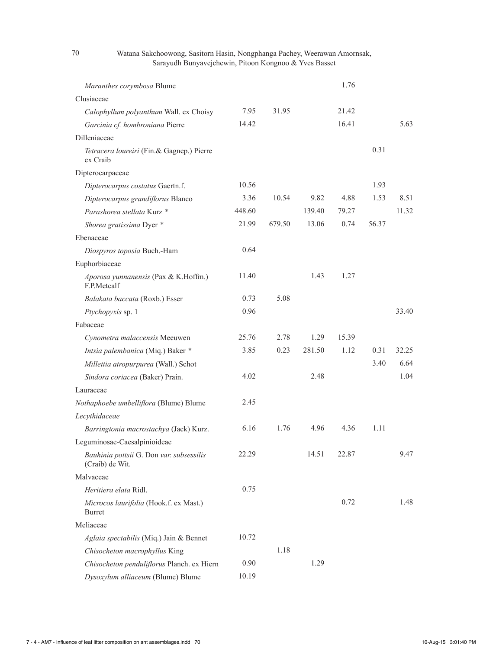#### 70 Watana Sakchoowong, Sasitorn Hasin, Nongphanga Pachey, Weerawan Amornsak, Sarayudh Bunyavejchewin, Pitoon Kongnoo & Yves Basset

| Maranthes corymbosa Blume                                   |        |        |        | 1.76  |       |       |
|-------------------------------------------------------------|--------|--------|--------|-------|-------|-------|
| Clusiaceae                                                  |        |        |        |       |       |       |
| Calophyllum polyanthum Wall. ex Choisy                      | 7.95   | 31.95  |        | 21.42 |       |       |
| Garcinia cf. hombroniana Pierre                             | 14.42  |        |        | 16.41 |       | 5.63  |
| Dilleniaceae                                                |        |        |        |       |       |       |
| Tetracera loureiri (Fin.& Gagnep.) Pierre<br>ex Craib       |        |        |        |       | 0.31  |       |
| Dipterocarpaceae                                            |        |        |        |       |       |       |
| Dipterocarpus costatus Gaertn.f.                            | 10.56  |        |        |       | 1.93  |       |
| Dipterocarpus grandiflorus Blanco                           | 3.36   | 10.54  | 9.82   | 4.88  | 1.53  | 8.51  |
| Parashorea stellata Kurz <sup>*</sup>                       | 448.60 |        | 139.40 | 79.27 |       | 11.32 |
| Shorea gratissima Dyer *                                    | 21.99  | 679.50 | 13.06  | 0.74  | 56.37 |       |
| Ebenaceae                                                   |        |        |        |       |       |       |
| Diospyros toposia Buch.-Ham                                 | 0.64   |        |        |       |       |       |
| Euphorbiaceae                                               |        |        |        |       |       |       |
| Aporosa yunnanensis (Pax & K.Hoffm.)<br>F.P.Metcalf         | 11.40  |        | 1.43   | 1.27  |       |       |
| Balakata baccata (Roxb.) Esser                              | 0.73   | 5.08   |        |       |       |       |
| Ptychopyxis sp. 1                                           | 0.96   |        |        |       |       | 33.40 |
| Fabaceae                                                    |        |        |        |       |       |       |
| Cynometra malaccensis Meeuwen                               | 25.76  | 2.78   | 1.29   | 15.39 |       |       |
| Intsia palembanica (Miq.) Baker *                           | 3.85   | 0.23   | 281.50 | 1.12  | 0.31  | 32.25 |
| Millettia atropurpurea (Wall.) Schot                        |        |        |        |       | 3.40  | 6.64  |
| Sindora coriacea (Baker) Prain.                             | 4.02   |        | 2.48   |       |       | 1.04  |
| Lauraceae                                                   |        |        |        |       |       |       |
| Nothaphoebe umbelliflora (Blume) Blume                      | 2.45   |        |        |       |       |       |
| Lecythidaceae                                               |        |        |        |       |       |       |
| Barringtonia macrostachya (Jack) Kurz.                      | 6.16   | 1.76   | 4.96   | 4.36  | 1.11  |       |
| Leguminosae-Caesalpinioideae                                |        |        |        |       |       |       |
| Bauhinia pottsii G. Don var. subsessilis<br>(Craib) de Wit. | 22.29  |        | 14.51  | 22.87 |       | 9.47  |
| Malvaceae                                                   |        |        |        |       |       |       |
| Heritiera elata Ridl.                                       | 0.75   |        |        |       |       |       |
| Microcos laurifolia (Hook.f. ex Mast.)<br><b>Burret</b>     |        |        |        | 0.72  |       | 1.48  |
| Meliaceae                                                   |        |        |        |       |       |       |
| Aglaia spectabilis (Miq.) Jain & Bennet                     | 10.72  |        |        |       |       |       |
| Chisocheton macrophyllus King                               |        | 1.18   |        |       |       |       |
| Chisocheton penduliflorus Planch. ex Hiern                  | 0.90   |        | 1.29   |       |       |       |
| Dysoxylum alliaceum (Blume) Blume                           | 10.19  |        |        |       |       |       |